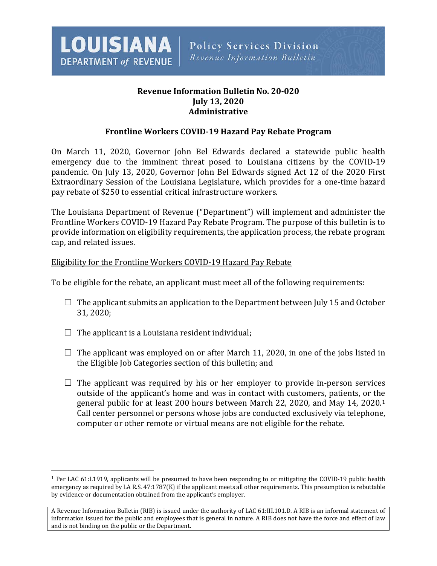

# **Revenue Information Bulletin No. 20-020 July 13, 2020 Administrative**

# **Frontline Workers COVID-19 Hazard Pay Rebate Program**

On March 11, 2020, Governor John Bel Edwards declared a statewide public health emergency due to the imminent threat posed to Louisiana citizens by the COVID-19 pandemic. On July 13, 2020, Governor John Bel Edwards signed Act 12 of the 2020 First Extraordinary Session of the Louisiana Legislature, which provides for a one-time hazard pay rebate of \$250 to essential critical infrastructure workers.

The Louisiana Department of Revenue ("Department") will implement and administer the Frontline Workers COVID-19 Hazard Pay Rebate Program. The purpose of this bulletin is to provide information on eligibility requirements, the application process, the rebate program cap, and related issues.

### Eligibility for the Frontline Workers COVID-19 Hazard Pay Rebate

To be eligible for the rebate, an applicant must meet all of the following requirements:

- $\Box$  The applicant submits an application to the Department between July 15 and October 31, 2020;
- $\Box$  The applicant is a Louisiana resident individual;

 $\overline{a}$ 

- $\Box$  The applicant was employed on or after March 11, 2020, in one of the jobs listed in the Eligible Job Categories section of this bulletin; and
- $\Box$  The applicant was required by his or her employer to provide in-person services outside of the applicant's home and was in contact with customers, patients, or the general public for at least 200 hours between March 22, 2020, and May 14, 2020.[1](#page-0-0) Call center personnel or persons whose jobs are conducted exclusively via telephone, computer or other remote or virtual means are not eligible for the rebate.

<span id="page-0-0"></span><sup>1</sup> Per LAC 61:I.1919, applicants will be presumed to have been responding to or mitigating the COVID-19 public health emergency as required by LA R.S. 47:1787(K) if the applicant meets all other requirements. This presumption is rebuttable by evidence or documentation obtained from the applicant's employer.

A Revenue Information Bulletin (RIB) is issued under the authority of LAC 61:III.101.D. A RIB is an informal statement of information issued for the public and employees that is general in nature. A RIB does not have the force and effect of law and is not binding on the public or the Department.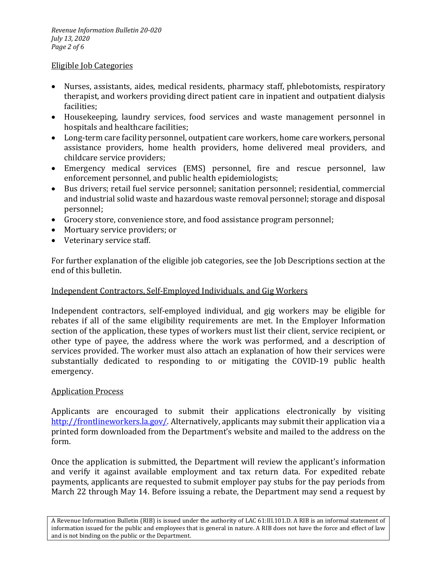### Eligible Job Categories

- Nurses, assistants, aides, medical residents, pharmacy staff, phlebotomists, respiratory therapist, and workers providing direct patient care in inpatient and outpatient dialysis facilities;
- Housekeeping, laundry services, food services and waste management personnel in hospitals and healthcare facilities;
- Long-term care facility personnel, outpatient care workers, home care workers, personal assistance providers, home health providers, home delivered meal providers, and childcare service providers;
- Emergency medical services (EMS) personnel, fire and rescue personnel, law enforcement personnel, and public health epidemiologists;
- Bus drivers; retail fuel service personnel; sanitation personnel; residential, commercial and industrial solid waste and hazardous waste removal personnel; storage and disposal personnel;
- Grocery store, convenience store, and food assistance program personnel;
- Mortuary service providers; or
- Veterinary service staff.

For further explanation of the eligible job categories, see the Job Descriptions section at the end of this bulletin.

# Independent Contractors, Self-Employed Individuals, and Gig Workers

Independent contractors, self-employed individual, and gig workers may be eligible for rebates if all of the same eligibility requirements are met. In the Employer Information section of the application, these types of workers must list their client, service recipient, or other type of payee, the address where the work was performed, and a description of services provided. The worker must also attach an explanation of how their services were substantially dedicated to responding to or mitigating the COVID-19 public health emergency.

# Application Process

Applicants are encouraged to submit their applications electronically by visiting [http://frontlineworkers.la.gov/.](http://frontlineworkers.la.gov/) Alternatively, applicants may submit their application via a printed form downloaded from the Department's website and mailed to the address on the form.

Once the application is submitted, the Department will review the applicant's information and verify it against available employment and tax return data. For expedited rebate payments, applicants are requested to submit employer pay stubs for the pay periods from March 22 through May 14. Before issuing a rebate, the Department may send a request by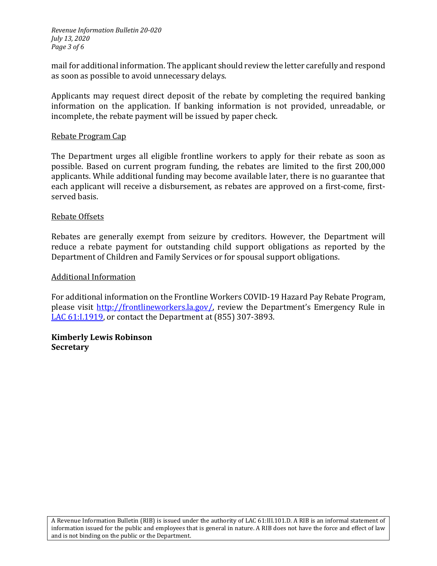*Revenue Information Bulletin 20-020 July 13, 2020 Page 3 of 6*

mail for additional information. The applicant should review the letter carefully and respond as soon as possible to avoid unnecessary delays.

Applicants may request direct deposit of the rebate by completing the required banking information on the application. If banking information is not provided, unreadable, or incomplete, the rebate payment will be issued by paper check.

#### Rebate Program Cap

The Department urges all eligible frontline workers to apply for their rebate as soon as possible. Based on current program funding, the rebates are limited to the first 200,000 applicants. While additional funding may become available later, there is no guarantee that each applicant will receive a disbursement, as rebates are approved on a first-come, firstserved basis.

#### Rebate Offsets

Rebates are generally exempt from seizure by creditors. However, the Department will reduce a rebate payment for outstanding child support obligations as reported by the Department of Children and Family Services or for spousal support obligations.

#### Additional Information

For additional information on the Frontline Workers COVID-19 Hazard Pay Rebate Program, please visit [http://frontlineworkers.la.gov/,](http://frontlineworkers.la.gov/) review the Department's Emergency Rule in [LAC 61:I.1919,](http://revenue.louisiana.gov/LawsPolicies/Final%20ER%20-%20Frontline%20Workers%20COVID-19%20Hazard%20Pay%20Rebate%20-%20Send%20to%20Register.pdf) or contact the Department at (855) 307-3893.

### **Kimberly Lewis Robinson Secretary**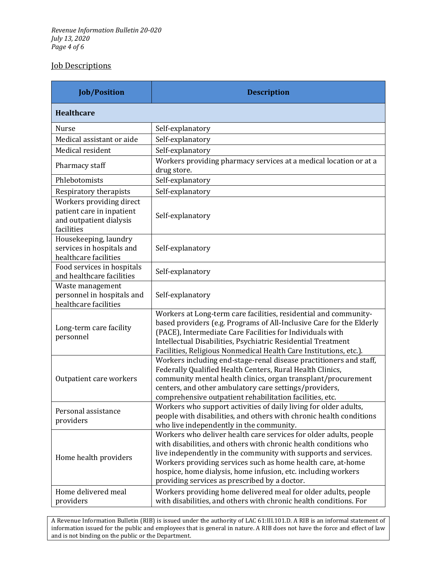# Job Descriptions

| <b>Job/Position</b>                                                                            | <b>Description</b>                                                                                                                                                                                                                                                                                                                                                                         |
|------------------------------------------------------------------------------------------------|--------------------------------------------------------------------------------------------------------------------------------------------------------------------------------------------------------------------------------------------------------------------------------------------------------------------------------------------------------------------------------------------|
| Healthcare                                                                                     |                                                                                                                                                                                                                                                                                                                                                                                            |
| <b>Nurse</b>                                                                                   | Self-explanatory                                                                                                                                                                                                                                                                                                                                                                           |
| Medical assistant or aide                                                                      | Self-explanatory                                                                                                                                                                                                                                                                                                                                                                           |
| Medical resident                                                                               | Self-explanatory                                                                                                                                                                                                                                                                                                                                                                           |
| Pharmacy staff                                                                                 | Workers providing pharmacy services at a medical location or at a<br>drug store.                                                                                                                                                                                                                                                                                                           |
| Phlebotomists                                                                                  | Self-explanatory                                                                                                                                                                                                                                                                                                                                                                           |
| Respiratory therapists                                                                         | Self-explanatory                                                                                                                                                                                                                                                                                                                                                                           |
| Workers providing direct<br>patient care in inpatient<br>and outpatient dialysis<br>facilities | Self-explanatory                                                                                                                                                                                                                                                                                                                                                                           |
| Housekeeping, laundry<br>services in hospitals and<br>healthcare facilities                    | Self-explanatory                                                                                                                                                                                                                                                                                                                                                                           |
| Food services in hospitals<br>and healthcare facilities                                        | Self-explanatory                                                                                                                                                                                                                                                                                                                                                                           |
| Waste management<br>personnel in hospitals and<br>healthcare facilities                        | Self-explanatory                                                                                                                                                                                                                                                                                                                                                                           |
| Long-term care facility<br>personnel                                                           | Workers at Long-term care facilities, residential and community-<br>based providers (e.g. Programs of All-Inclusive Care for the Elderly<br>(PACE), Intermediate Care Facilities for Individuals with<br>Intellectual Disabilities, Psychiatric Residential Treatment<br>Facilities, Religious Nonmedical Health Care Institutions, etc.).                                                 |
| Outpatient care workers                                                                        | Workers including end-stage-renal disease practitioners and staff,<br>Federally Qualified Health Centers, Rural Health Clinics,<br>community mental health clinics, organ transplant/procurement<br>centers, and other ambulatory care settings/providers,<br>comprehensive outpatient rehabilitation facilities, etc.                                                                     |
| Personal assistance<br>providers                                                               | Workers who support activities of daily living for older adults,<br>people with disabilities, and others with chronic health conditions<br>who live independently in the community.                                                                                                                                                                                                        |
| Home health providers                                                                          | Workers who deliver health care services for older adults, people<br>with disabilities, and others with chronic health conditions who<br>live independently in the community with supports and services.<br>Workers providing services such as home health care, at-home<br>hospice, home dialysis, home infusion, etc. including workers<br>providing services as prescribed by a doctor. |
| Home delivered meal<br>providers                                                               | Workers providing home delivered meal for older adults, people<br>with disabilities, and others with chronic health conditions. For                                                                                                                                                                                                                                                        |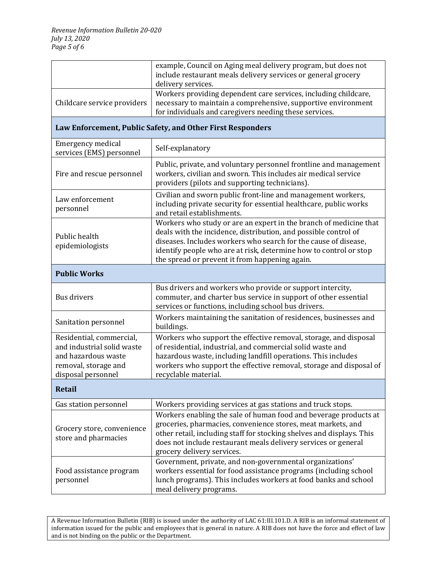|                                                                                                                             | example, Council on Aging meal delivery program, but does not<br>include restaurant meals delivery services or general grocery<br>delivery services.                                                                                                                                                                           |  |
|-----------------------------------------------------------------------------------------------------------------------------|--------------------------------------------------------------------------------------------------------------------------------------------------------------------------------------------------------------------------------------------------------------------------------------------------------------------------------|--|
| Childcare service providers                                                                                                 | Workers providing dependent care services, including childcare,<br>necessary to maintain a comprehensive, supportive environment<br>for individuals and caregivers needing these services.                                                                                                                                     |  |
| Law Enforcement, Public Safety, and Other First Responders                                                                  |                                                                                                                                                                                                                                                                                                                                |  |
| <b>Emergency medical</b><br>services (EMS) personnel                                                                        | Self-explanatory                                                                                                                                                                                                                                                                                                               |  |
| Fire and rescue personnel                                                                                                   | Public, private, and voluntary personnel frontline and management<br>workers, civilian and sworn. This includes air medical service<br>providers (pilots and supporting technicians).                                                                                                                                          |  |
| Law enforcement<br>personnel                                                                                                | Civilian and sworn public front-line and management workers,<br>including private security for essential healthcare, public works<br>and retail establishments.                                                                                                                                                                |  |
| Public health<br>epidemiologists                                                                                            | Workers who study or are an expert in the branch of medicine that<br>deals with the incidence, distribution, and possible control of<br>diseases. Includes workers who search for the cause of disease,<br>identify people who are at risk, determine how to control or stop<br>the spread or prevent it from happening again. |  |
| <b>Public Works</b>                                                                                                         |                                                                                                                                                                                                                                                                                                                                |  |
| Bus drivers                                                                                                                 | Bus drivers and workers who provide or support intercity,<br>commuter, and charter bus service in support of other essential<br>services or functions, including school bus drivers.                                                                                                                                           |  |
| Sanitation personnel                                                                                                        | Workers maintaining the sanitation of residences, businesses and<br>buildings.                                                                                                                                                                                                                                                 |  |
| Residential, commercial,<br>and industrial solid waste<br>and hazardous waste<br>removal, storage and<br>disposal personnel | Workers who support the effective removal, storage, and disposal<br>of residential, industrial, and commercial solid waste and<br>hazardous waste, including landfill operations. This includes<br>workers who support the effective removal, storage and disposal of<br>recyclable material.                                  |  |
| <b>Retail</b>                                                                                                               |                                                                                                                                                                                                                                                                                                                                |  |
| Gas station personnel                                                                                                       | Workers providing services at gas stations and truck stops.                                                                                                                                                                                                                                                                    |  |
| Grocery store, convenience<br>store and pharmacies                                                                          | Workers enabling the sale of human food and beverage products at<br>groceries, pharmacies, convenience stores, meat markets, and<br>other retail, including staff for stocking shelves and displays. This<br>does not include restaurant meals delivery services or general<br>grocery delivery services.                      |  |
| Food assistance program<br>personnel                                                                                        | Government, private, and non-governmental organizations'<br>workers essential for food assistance programs (including school<br>lunch programs). This includes workers at food banks and school<br>meal delivery programs.                                                                                                     |  |